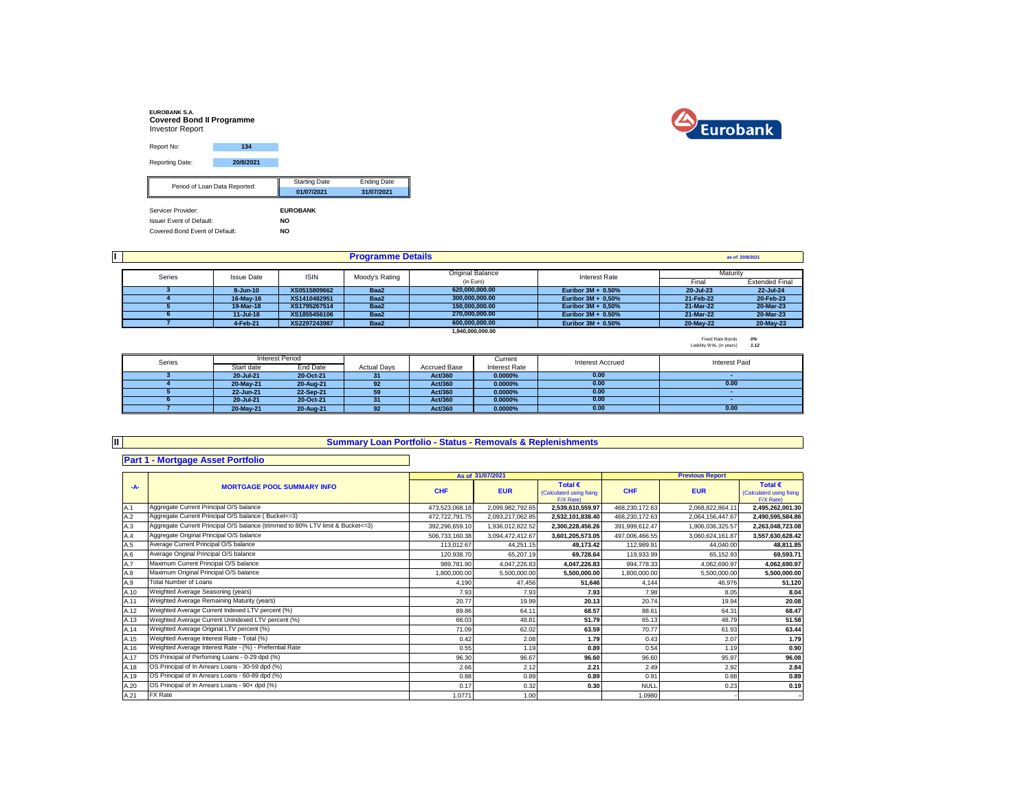| <b>EUROBANK S.A.</b><br><b>Covered Bond II Programme</b><br><b>Investor Report</b> |                               |                      |                    |
|------------------------------------------------------------------------------------|-------------------------------|----------------------|--------------------|
| Report No:                                                                         | 134                           |                      |                    |
| Reporting Date:                                                                    | 20/8/2021                     |                      |                    |
|                                                                                    |                               | <b>Starting Date</b> | <b>Ending Date</b> |
|                                                                                    | Period of Loan Data Reported: |                      |                    |
|                                                                                    |                               | 01/07/2021           | 31/07/2021         |
| Servicer Provider:                                                                 |                               | <b>EUROBANK</b>      |                    |
| <b>Issuer Event of Default:</b>                                                    |                               | <b>NO</b>            |                    |
| Covered Bond Event of Default:                                                     |                               | <b>NO</b>            |                    |



|        |                   |              | <b>Programme Details</b> |                  |                       |           | as of 20/8/2021       |
|--------|-------------------|--------------|--------------------------|------------------|-----------------------|-----------|-----------------------|
|        |                   |              |                          |                  |                       |           |                       |
| Series | <b>Issue Date</b> | <b>ISIN</b>  | Moody's Rating           | Original Balance | <b>Interest Rate</b>  | Maturity  |                       |
|        |                   |              |                          | (in Euro)        |                       | Final     | <b>Extended Final</b> |
|        | $8 - Jun-10$      | XS0515809662 | Baa2                     | 620.000.000.00   | Euribor $3M + 0.50%$  | 20-Jul-23 | 22-Jul-24             |
|        | 16-May-16         | XS1410482951 | Baa2                     | 300.000.000.00   | Euribor $3M + 0.50\%$ | 21-Feb-22 | 20-Feb-23             |
|        | 19-Mar-18         | XS1795267514 | Baa2                     | 150.000.000.00   | Euribor $3M + 0.50\%$ | 21-Mar-22 | 20-Mar-23             |
|        | $11 -$ Jul-18     | XS1855456106 | Baa2                     | 270.000.000.00   | Euribor $3M + 0.50\%$ | 21-Mar-22 | 20-Mar-23             |
|        | 4-Feb-21          | XS2297243987 | Baa2                     | 600.000.000.00   | Euribor $3M + 0.50%$  | 20-May-22 | 20-May-23             |
|        |                   |              |                          | 1.940.000.000.00 |                       |           |                       |

Fixed Rate Bonds *0%* Liability WAL (in years) *1.12*

| Series |            | Interest Period |                    |                     | Current       | Interest Accrued | <b>Interest Paid</b> |
|--------|------------|-----------------|--------------------|---------------------|---------------|------------------|----------------------|
|        | Start date | End Date        | <b>Actual Davs</b> | <b>Accrued Base</b> | Interest Rate |                  |                      |
|        | 20-Jul-21  | 20-Oct-21       |                    | Act/360             | 0.0000%       | 0.00             |                      |
|        | 20-May-21  | 20-Aug-21       | 92                 | Act/360             | 0.0000%       | 0.00             | 0.00                 |
|        | 22-Jun-21  | 22-Sep-21       | 59                 | Act/360             | 0.0000%       | 0.00             |                      |
|        | 20-Jul-21  | 20-Oct-21       | 31                 | Act/360             | 0.0000%       | 0.00             |                      |
|        | 20-May-21  | 20-Aug-21       | 92                 | Act/360             | 0.0000%       | 0.00             | 0.00                 |

# **II**

## **Summary Loan Portfolio - Status - Removals & Replenishments**

# **Part 1 - Mortgage Asset Portfolio**

|      |                                                                                |                | As of 31/07/2021 |                                                           |                | <b>Previous Report</b> |                                                           |
|------|--------------------------------------------------------------------------------|----------------|------------------|-----------------------------------------------------------|----------------|------------------------|-----------------------------------------------------------|
| $-A$ | <b>MORTGAGE POOL SUMMARY INFO</b>                                              | <b>CHF</b>     | <b>EUR</b>       | Total $\epsilon$<br>(Calculated using fixing<br>F/X Rate) | <b>CHF</b>     | <b>EUR</b>             | Total $\epsilon$<br>(Calculated using fixing<br>F/X Rate) |
| A.1  | Aggregate Current Principal O/S balance                                        | 473,523,068.18 | 2,099,982,792.65 | 2,539,610,559.97                                          | 468,230,172.63 | 2.068.822.864.11       | 2,495,262,001.30                                          |
| A.2  | Aggregate Current Principal O/S balance (Bucket<=3)                            | 472,722,791.75 | 2,093,217,062.85 | 2,532,101,838.40                                          | 468,230,172.63 | 2,064,156,447.67       | 2,490,595,584.86                                          |
| A.3  | Aggregate Current Principal O/S balance (trimmed to 80% LTV limit & Bucket<=3) | 392,296,659.10 | ,936,012,822.52  | 2,300,228,456.26                                          | 391,999,612.47 | 1,906,036,325.57       | 2,263,048,723.08                                          |
| A.4  | Aggregate Original Principal O/S balance                                       | 506,733,160.38 | 3,094,472,412.67 | 3,601,205,573.05                                          | 497,006,466.55 | 3,060,624,161.87       | 3,557,630,628.42                                          |
| A.5  | Average Current Principal O/S balance                                          | 113,012.67     | 44,251.15        | 49,173.42                                                 | 112,989.91     | 44.040.00              | 48,811.85                                                 |
| A.6  | Average Original Principal O/S balance                                         | 120,938.70     | 65,207.19        | 69,728.64                                                 | 119,933.99     | 65,152.93              | 69,593.71                                                 |
| A.7  | Maximum Current Principal O/S balance                                          | 989.781.90     | 4,047,226.83     | 4,047,226.83                                              | 994.778.33     | 4,062,690.97           | 4,062,690.97                                              |
| A.8  | Maximum Original Principal O/S balance                                         | 1,800,000.00   | 5.500.000.00     | 5.500.000.00                                              | 1,800,000.00   | 5.500.000.00           | 5,500,000.00                                              |
| A.9  | <b>Total Number of Loans</b>                                                   | 4.190          | 47.456           | 51,646                                                    | 4.144          | 46.976                 | 51,120                                                    |
| A.10 | Weighted Average Seasoning (years)                                             | 7.93           | 7.93             | 7.93                                                      | 7.98           | 8.05                   | 8.04                                                      |
| A.11 | Weighted Average Remaining Maturity (years)                                    | 20.77          | 19.99            | 20.13                                                     | 20.74          | 19.94                  | 20.08                                                     |
| A.12 | Weighted Average Current Indexed LTV percent (%)                               | 89.86          | 64.11            | 68.57                                                     | 88.61          | 64.31                  | 68.47                                                     |
| A.13 | Weighted Average Current Unindexed LTV percent (%)                             | 66.03          | 48.81            | 51.79                                                     | 65.13          | 48.79                  | 51.58                                                     |
| A.14 | Weighted Average Original LTV percent (%)                                      | 71.09          | 62.02            | 63.59                                                     | 70.77          | 61.93                  | 63.44                                                     |
| A.15 | Weighted Average Interest Rate - Total (%)                                     | 0.42           | 2.08             | 1.79                                                      | 0.43           | 2.07                   | 1.79                                                      |
| A.16 | Weighted Average Interest Rate - (%) - Preferntial Rate                        | 0.55           | 1.19             | 0.89                                                      | 0.54           | 1.19                   | 0.90                                                      |
| A.17 | OS Principal of Perfoming Loans - 0-29 dpd (%)                                 | 96.30          | 96.67            | 96.60                                                     | 96.60          | 95.97                  | 96.08                                                     |
| A.18 | OS Principal of In Arrears Loans - 30-59 dpd (%)                               | 2.66           | 2.12             | 2.21                                                      | 2.49           | 2.92                   | 2.84                                                      |
| A.19 | OS Principal of In Arrears Loans - 60-89 dpd (%)                               | 0.88           | 0.89             | 0.89                                                      | 0.91           | 0.88                   | 0.89                                                      |
| A.20 | OS Principal of In Arrears Loans - 90+ dpd (%)                                 | 0.17           | 0.32             | 0.30                                                      | <b>NULL</b>    | 0.23                   | 0.19                                                      |
| A.21 | FX Rate                                                                        | 1.0771         | 1.00             |                                                           | 1.0980         |                        |                                                           |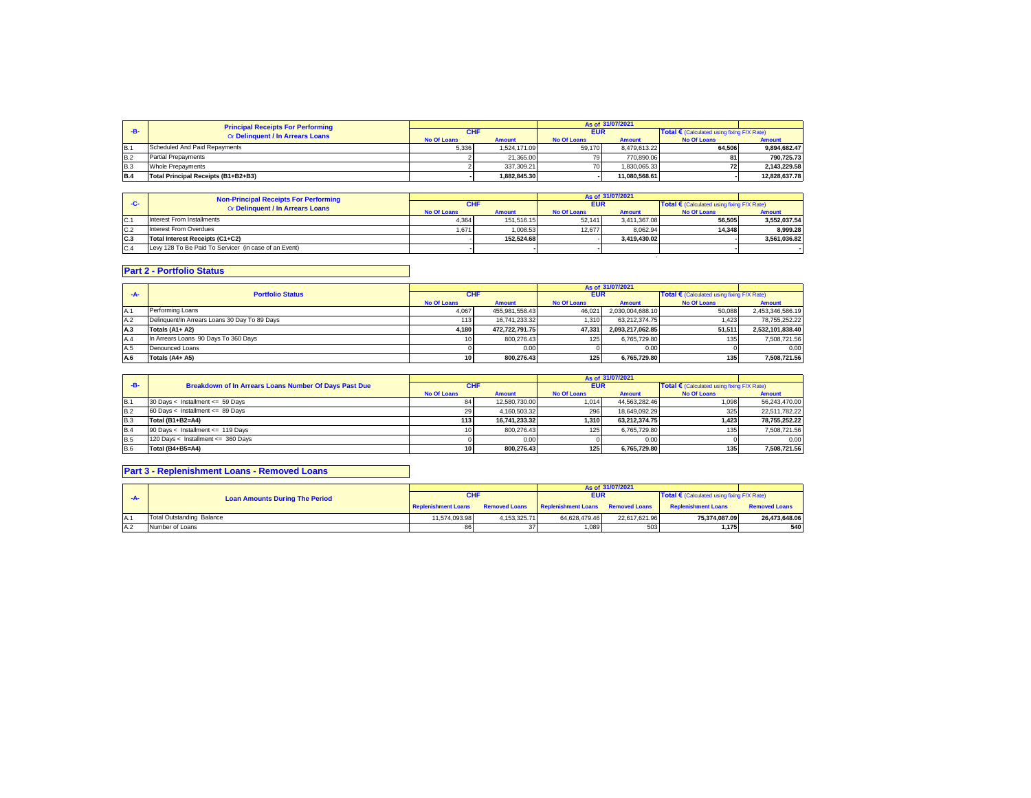|            | <b>Principal Receipts For Performing</b> |                    |               |                    | As of 31/07/2021 |                                                     |               |
|------------|------------------------------------------|--------------------|---------------|--------------------|------------------|-----------------------------------------------------|---------------|
|            | Or Delinquent / In Arrears Loans         |                    |               | <b>EUR</b>         |                  | Total $\epsilon$ (Calculated using fixing F/X Rate) |               |
|            |                                          | <b>No Of Loans</b> | <b>Amount</b> | <b>No Of Loans</b> | <b>Amount</b>    | <b>No Of Loans</b>                                  | <b>Amount</b> |
| IB.        | Scheduled And Paid Repayments            | 5.336              | 1.524.171.09  | 59.170             | 8.479.613.22     | 64.506                                              | 9.894.682.47  |
| <b>B.2</b> | <b>Partial Prepayments</b>               |                    | 21.365.00     | 79                 | 770.890.06       |                                                     | 790.725.73    |
| <b>B.3</b> | Whole Prepayments                        |                    | 337.309.21    | 70                 | 1.830.065.33     | <b>721</b>                                          | 2.143.229.58  |
| <b>B.4</b> | Total Principal Receipts (B1+B2+B3)      |                    | 1.882.845.30  |                    | 11.080.568.61    |                                                     | 12.828.637.78 |

|     | <b>Non-Principal Receipts For Performing</b>          | As of 31/07/2021   |               |                    |               |                                            |               |
|-----|-------------------------------------------------------|--------------------|---------------|--------------------|---------------|--------------------------------------------|---------------|
| -C- | Or Delinquent / In Arrears Loans                      | <b>CHF</b>         |               | <b>EUR</b>         |               | Total € (Calculated using fixing F/X Rate) |               |
|     |                                                       | <b>No Of Loans</b> | <b>Amount</b> | <b>No Of Loans</b> | <b>Amount</b> | <b>No Of Loans</b>                         | <b>Amount</b> |
| C.1 | Interest From Installments                            | 4.364              | 151.516.15    | 52.141             | 3.411.367.08  | 56.505                                     | 3.552.037.54  |
| C.2 | Interest From Overdues                                | 1.671              | 1.008.53      | 12.677             | 8.062.94      | 14.348                                     | 8.999.28      |
| C.3 | Total Interest Receipts (C1+C2)                       |                    | 152.524.68    |                    | 3.419.430.02  |                                            | 3.561.036.82  |
| C.4 | Levy 128 To Be Paid To Servicer (in case of an Event) |                    |               |                    |               |                                            |               |
|     |                                                       |                    |               |                    |               |                                            |               |

# **Part 2 - Portfolio Status**

|            |                                               |                    |                |                    | As of 31/07/2021 |                                                     |                  |
|------------|-----------------------------------------------|--------------------|----------------|--------------------|------------------|-----------------------------------------------------|------------------|
|            | <b>Portfolio Status</b>                       | <b>CHF</b>         |                | <b>EUR</b>         |                  | Total $\epsilon$ (Calculated using fixing F/X Rate) |                  |
|            |                                               | <b>No Of Loans</b> | <b>Amount</b>  | <b>No Of Loans</b> | <b>Amount</b>    | <b>No Of Loans</b>                                  | <b>Amount</b>    |
| IA.1       | Performing Loans                              | 4.067              | 455.981.558.43 | 46.021             | 2.030.004.688.10 | 50.088                                              | 2,453,346,586.19 |
| A.2        | Delinguent/In Arrears Loans 30 Day To 89 Days | 113                | 16.741.233.32  | 1.310              | 63.212.374.75    | 1.423                                               | 78.755.252.22    |
| <b>A.3</b> | Totals (A1+ A2)                               | 4.180              | 472.722.791.75 | 47.331             | 2.093.217.062.85 | 51.511                                              | 2.532.101.838.40 |
| A.4        | In Arrears Loans 90 Days To 360 Days          |                    | 800.276.43     | 125                | 6.765.729.80     | 135                                                 | 7,508,721.56     |
| A.5        | Denounced Loans                               |                    | 0.00           |                    | 0.00             |                                                     | 0.00             |
| A.6        | Totals (A4+ A5)                               | 10                 | 800.276.43     | 125                | 6.765.729.80     | 135                                                 | 7,508,721.56     |

|            |                                                              |                    |               |                    | As of 31/07/2021 |                                                     |               |
|------------|--------------------------------------------------------------|--------------------|---------------|--------------------|------------------|-----------------------------------------------------|---------------|
| $-B-$      | <b>Breakdown of In Arrears Loans Number Of Days Past Due</b> | <b>CHF</b>         |               | <b>EUR</b>         |                  | Total $\epsilon$ (Calculated using fixing F/X Rate) |               |
|            |                                                              | <b>No Of Loans</b> | <b>Amount</b> | <b>No Of Loans</b> | <b>Amount</b>    | <b>No Of Loans</b>                                  | <b>Amount</b> |
| IB.1       | 30 Days < Installment <= 59 Days                             |                    | 12.580.730.00 | 1.014              | 44.563.282.46    | 1,098                                               | 56.243.470.00 |
| <b>B.2</b> | 60 Days < Installment <= 89 Days                             | 29                 | 4.160.503.32  | 296                | 18.649.092.29    | 325                                                 | 22,511,782.22 |
| <b>B.3</b> | Total (B1+B2=A4)                                             | 113                | 16.741.233.32 | 1.310              | 63.212.374.75    | 1.423                                               | 78.755.252.22 |
| B.4        | 90 Days < Installment <= 119 Days                            |                    | 800.276.43    | 125                | 6.765.729.80     | 135                                                 | 7.508.721.56  |
| <b>B.5</b> | 120 Days < Installment <= 360 Days                           |                    | 0.00          |                    | 0.00             |                                                     | 0.00          |
| <b>B.6</b> | Total (B4+B5=A4)                                             |                    | 800.276.43    | 125 <sub>1</sub>   | 6.765.729.80     | 135                                                 | 7.508.721.56  |

## **Part 3 - Replenishment Loans - Removed Loans**

|     |                                       |                            |                      |                                   | As of 31/07/2021 |                                                     |                      |
|-----|---------------------------------------|----------------------------|----------------------|-----------------------------------|------------------|-----------------------------------------------------|----------------------|
|     | <b>Loan Amounts During The Period</b> | <b>CHF</b>                 |                      | <b>EUR</b>                        |                  | Total $\epsilon$ (Calculated using fixing F/X Rate) |                      |
|     |                                       | <b>Replenishment Loans</b> | <b>Removed Loans</b> | Replenishment Loans Removed Loans |                  | <b>Replenishment Loans</b>                          | <b>Removed Loans</b> |
| A.1 | Total Outstanding Balance             | 11.574.093.98              | 4.153.325.71         | 64.628.479.46                     | 22.617.621.96    | 75.374.087.09                                       | 26.473.648.06        |
| A.2 | Number of Loans                       | 86                         | 37                   | 1.089                             | 503              | 1,175                                               | 540                  |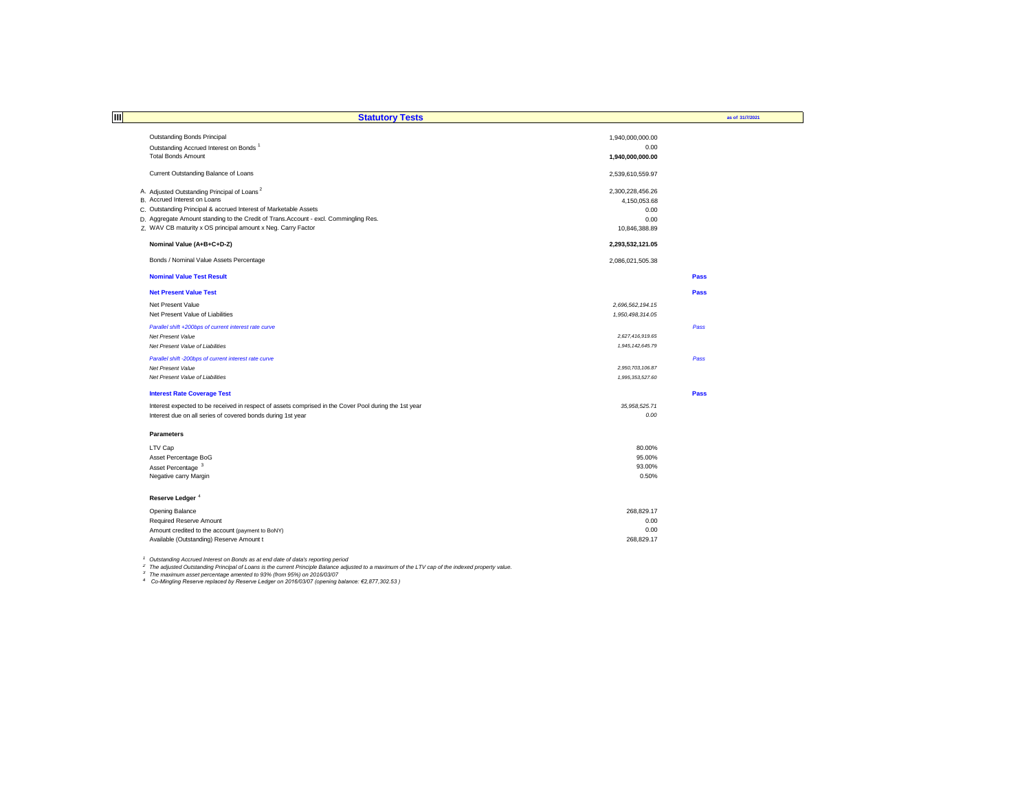| $\overline{\mathbf{m}}$                                                                               |                        |                 |
|-------------------------------------------------------------------------------------------------------|------------------------|-----------------|
|                                                                                                       | <b>Statutory Tests</b> | as of 31/7/2021 |
| Outstanding Bonds Principal                                                                           | 1,940,000,000.00       |                 |
| Outstanding Accrued Interest on Bonds                                                                 | 0.00                   |                 |
| <b>Total Bonds Amount</b>                                                                             | 1,940,000,000.00       |                 |
|                                                                                                       |                        |                 |
| Current Outstanding Balance of Loans                                                                  | 2,539,610,559.97       |                 |
| A. Adjusted Outstanding Principal of Loans <sup>2</sup>                                               | 2,300,228,456.26       |                 |
| B. Accrued Interest on Loans                                                                          | 4,150,053.68           |                 |
| C. Outstanding Principal & accrued Interest of Marketable Assets                                      | 0.00                   |                 |
| D. Aggregate Amount standing to the Credit of Trans.Account - excl. Commingling Res.                  | 0.00                   |                 |
| Z. WAV CB maturity x OS principal amount x Neg. Carry Factor                                          | 10,846,388.89          |                 |
|                                                                                                       |                        |                 |
| Nominal Value (A+B+C+D-Z)                                                                             | 2,293,532,121.05       |                 |
| Bonds / Nominal Value Assets Percentage                                                               | 2,086,021,505.38       |                 |
| <b>Nominal Value Test Result</b>                                                                      |                        | Pass            |
|                                                                                                       |                        |                 |
| <b>Net Present Value Test</b>                                                                         |                        | Pass            |
| Net Present Value                                                                                     | 2,696,562,194.15       |                 |
| Net Present Value of Liabilities                                                                      | 1,950,498,314.05       |                 |
| Parallel shift +200bps of current interest rate curve                                                 |                        | Pass            |
| Net Present Value                                                                                     | 2,627,416,919.65       |                 |
| Net Present Value of Liabilities                                                                      | 1,945,142,645.79       |                 |
| Parallel shift -200bps of current interest rate curve                                                 |                        | Pass            |
| Net Present Value                                                                                     | 2,950,703,106.87       |                 |
| Net Present Value of Liabilities                                                                      | 1,995,353,527.60       |                 |
| <b>Interest Rate Coverage Test</b>                                                                    |                        | Pass            |
| Interest expected to be received in respect of assets comprised in the Cover Pool during the 1st year | 35,958,525.71          |                 |
| Interest due on all series of covered bonds during 1st year                                           | 0.00                   |                 |
|                                                                                                       |                        |                 |
| <b>Parameters</b>                                                                                     |                        |                 |
| LTV Cap                                                                                               | 80.00%                 |                 |
| Asset Percentage BoG                                                                                  | 95.00%                 |                 |
| Asset Percentage <sup>3</sup>                                                                         | 93.00%                 |                 |
| Negative carry Margin                                                                                 | 0.50%                  |                 |
|                                                                                                       |                        |                 |
| Reserve Ledger <sup>4</sup>                                                                           |                        |                 |
| Opening Balance                                                                                       | 268,829.17             |                 |
| Required Reserve Amount                                                                               | 0.00                   |                 |
| Amount credited to the account (payment to BoNY)                                                      | 0.00                   |                 |
| Available (Outstanding) Reserve Amount t                                                              | 268,829.17             |                 |
|                                                                                                       |                        |                 |

<sup>1</sup> Outstanding Accrued Interest on Bonds as at end date of data's reporting period<br><sup>2</sup> The adjusted Outstanding Principal of Loans is the current Principle Balance adjusted to a maximum of the LTV cap of the indexed prope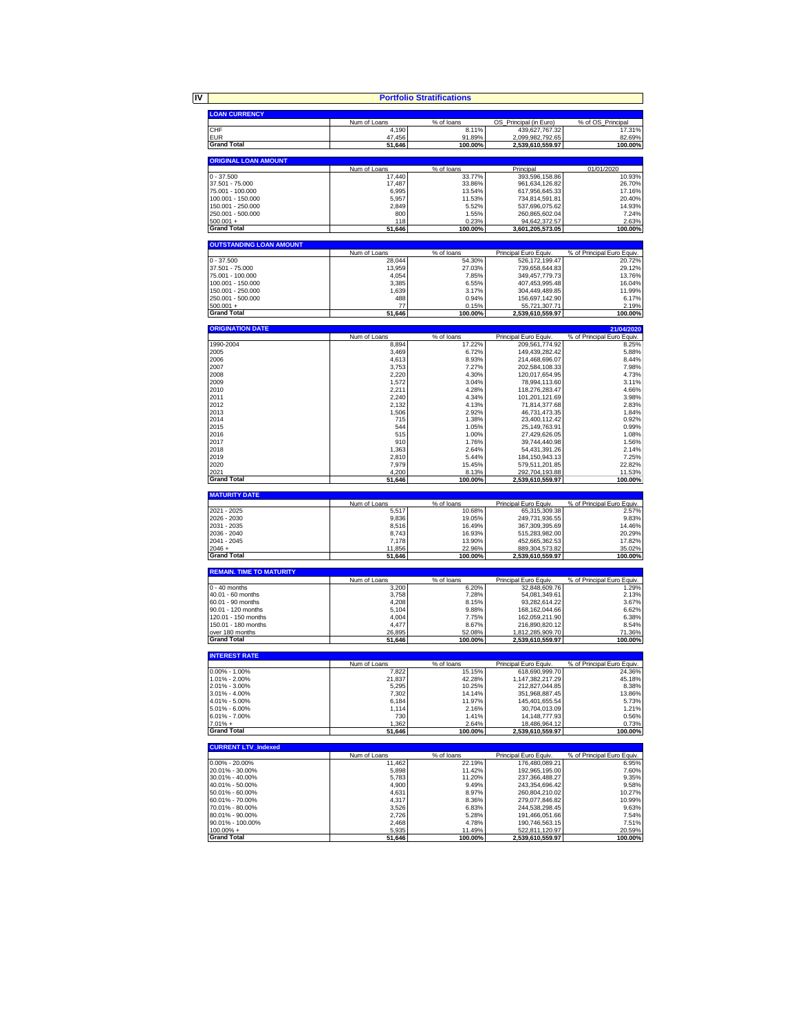|                                            |                        | <b>Portfolio Stratifications</b> |                                    |                                          |
|--------------------------------------------|------------------------|----------------------------------|------------------------------------|------------------------------------------|
|                                            |                        |                                  |                                    |                                          |
| <b>LOAN CURRENCY</b>                       | Num of Loans           | % of loans                       | OS Principal (in Euro)             | % of OS_Principal                        |
| CHF                                        | 4,190                  | 8.11%                            | 439,627,767.32                     | 17.31%                                   |
| <b>EUR</b>                                 | 47,456                 | 91.89%                           | 2,099,982,792.65                   | 82.69%                                   |
| <b>Grand Total</b>                         | 51,646                 | 100.00%                          | 2,539,610,559.97                   | 100.00%                                  |
| <b>ORIGINAL LOAN AMOUNT</b>                |                        |                                  |                                    |                                          |
| $0 - 37.500$                               | Num of Loans<br>17,440 | % of loans                       | Principal                          | 01/01/2020<br>10.93%                     |
| 37.501 - 75.000                            | 17,487                 | 33.77%<br>33.86%                 | 393,596,158.86<br>961,634,126.82   | 26.70%                                   |
| 75.001 - 100.000                           | 6,995                  | 13.54%                           | 617,956,645.33                     | 17.16%                                   |
| 100.001 - 150.000                          | 5,957                  | 11.53%                           | 734,814,591.81                     | 20.40%                                   |
| 150.001 - 250.000<br>250.001 - 500.000     | 2,849<br>800           | 5.52%<br>1.55%                   | 537,696,075.62<br>260,865,602.04   | 14.93%<br>7.24%                          |
| $500.001 +$                                | 118                    | 0.23%                            | 94,642,372.57                      | 2.63%                                    |
| <b>Grand Total</b>                         | 51,646                 | 100.00%                          | 3,601,205,573.05                   | 100.00%                                  |
| <b>OUTSTANDING LOAN AMOUNT</b>             |                        |                                  |                                    |                                          |
|                                            | Num of Loans           | % of loans                       | Principal Euro Equiv.              | % of Principal Euro Equiv.               |
| $0 - 37.500$<br>37.501 - 75.000            | 28,044<br>13,959       | 54.30%<br>27.03%                 | 526,172,199.47<br>739,658,644.83   | 20.72%<br>29.12%                         |
| 75.001 - 100.000                           | 4,054                  | 7.85%                            | 349,457,779.73                     | 13.76%                                   |
| 100.001 - 150.000                          | 3,385                  | 6.55%                            | 407,453,995.48                     | 16.04%                                   |
| 150.001 - 250.000                          | 1,639                  | 3.17%                            | 304,449,489.85                     | 11.99%                                   |
| 250.001 - 500.000<br>$500.001 +$           | 488<br>77              | 0.94%<br>0.15%                   | 156,697,142.90                     | 6.17%<br>2.19%                           |
| <b>Grand Total</b>                         | 51,646                 | 100.00%                          | 55,721,307.71<br>2,539,610,559.97  | 100.00%                                  |
|                                            |                        |                                  |                                    |                                          |
| <b>ORIGINATION DATE</b>                    | Num of Loans           | % of loans                       | Principal Euro Equiv.              | 21/04/2020<br>% of Principal Euro Equiv. |
| 1990-2004                                  | 8,894                  | 17.22%                           | 209,561,774.92                     | 8.25%                                    |
| 2005                                       | 3,469                  | 6.72%                            | 149,439,282.42                     | 5.88%                                    |
| 2006<br>2007                               | 4,613<br>3,753         | 8.93%<br>7.27%                   | 214.468.696.07<br>202,584,108.33   | 8.44%<br>7.98%                           |
| 2008                                       | 2,220                  | 4.30%                            | 120,017,654.95                     | 4.73%                                    |
| 2009                                       | 1,572                  | 3.04%                            | 78,994,113.60                      | 3.11%                                    |
| 2010                                       | 2,211                  | 4.28%                            | 118,276,283.47                     | 4.66%                                    |
| 2011<br>2012                               | 2,240                  | 4.34%<br>4.13%                   | 101,201,121.69                     | 3.98%<br>2.83%                           |
| 2013                                       | 2,132<br>1,506         | 2.92%                            | 71,814,377.68<br>46,731,473.35     | 1.84%                                    |
| 2014                                       | 715                    | 1.38%                            | 23,400,112.42                      | 0.92%                                    |
| 2015                                       | 544                    | 1.05%                            | 25,149,763.91                      | 0.99%                                    |
| 2016                                       | 515                    | 1.00%                            | 27,429,626.05                      | 1.08%                                    |
| 2017                                       | 910                    | 1.76%                            | 39,744,440.98                      | 1.56%<br>2.14%                           |
| 2018<br>2019                               | 1.363<br>2,810         | 2.64%<br>5.44%                   | 54,431,391.26<br>184, 150, 943. 13 | 7.25%                                    |
| 2020                                       | 7,979                  | 15.45%                           | 579.511.201.85                     | 22.82%                                   |
| 2021<br><b>Grand Total</b>                 | 4,200<br>51,646        | 8.13%<br>100.00%                 | 292,704,193.88<br>2,539,610,559.97 | 11.53%<br>100.00%                        |
|                                            |                        |                                  |                                    |                                          |
| <b>MATURITY DATE</b>                       | Num of Loans           | % of loans                       | Principal Euro Equiv.              | % of Principal Euro Equiv.               |
| 2021 - 2025                                | 5,517                  | 10.68%                           | 65,315,309.38                      | 2.57%                                    |
| 2026 - 2030                                | 9,836                  | 19.05%                           | 249,731,936.55                     | 9.83%                                    |
| 2031 - 2035                                | 8,516                  | 16.49%                           | 367,309,395.69                     | 14.46%<br>20.29%                         |
| 2036 - 2040<br>2041 - 2045                 | 8,743<br>7,178         | 16.93%<br>13.90%                 | 515,283,982.00<br>452,665,362.53   | 17.82%                                   |
| $2046 +$                                   | 11,856                 | 22.96%                           | 889,304,573.82                     | 35.02%                                   |
| <b>Grand Total</b>                         | 51,646                 | 100.00%                          | 2,539,610,559.97                   | 100.00%                                  |
| <b>REMAIN. TIME TO MATURITY</b>            |                        |                                  |                                    |                                          |
|                                            | Num of Loans           | % of loans                       | Principal Euro Equiv.              | % of Principal Euro Equiv.               |
| $0 - 40$ months<br>40.01 - 60 months       | 3,200<br>3,758         | 6.20%<br>7.28%                   | 32,848,609.76<br>54.081.349.61     | 1.29%<br>2.13%                           |
| 60.01 - 90 months                          | 4,208                  | 8.15%                            | 93,282,614.22                      | 3.67%                                    |
| 90.01 - 120 months                         | 5,104                  | 9.88%                            | 168, 162, 044.66                   | 6.62%                                    |
| 120.01 - 150 months<br>150.01 - 180 months | 4,004<br>4,477         | 7.75%<br>8.67%                   | 162,059,211.90<br>216,890,820.12   | 6.38%<br>8.54%                           |
| over 180 months                            | 26,895                 | 52.08%                           | 1,812,285,909.70                   | 71.36%                                   |
| <b>Grand Total</b>                         | 51,646                 | 100.00%                          | 2,539,610,559.97                   | 100.00%                                  |
| <b>INTEREST RATE</b>                       |                        |                                  |                                    |                                          |
|                                            | Num of Loans           | % of loans                       | Principal Euro Equiv.              | % of Principal Euro Equiv.               |
| $0.00\% - 1.00\%$                          | 7.822                  | 15.15%                           | 618,690,999.70                     | 24.36%                                   |
| 1.01% - 2.00%<br>2.01% - 3.00%             | 21,837<br>5,295        | 42.28%<br>10.25%                 | 1,147,382,217.29<br>212,827,044.85 | 45.18%<br>8.38%                          |
| $3.01\% - 4.00\%$                          | 7,302                  | 14.14%                           | 351,968,887.45                     | 13.86%                                   |
| 4.01% - 5.00%                              | 6,184                  | 11.97%                           | 145,401,655.54                     | 5.73%                                    |
| 5.01% - 6.00%                              | 1,114                  | 2.16%                            | 30,704,013.09                      | 1.21%                                    |
| 6.01% - 7.00%<br>$7.01% +$                 | 730<br>1,362           | 1.41%<br>2.64%                   | 14, 148, 777. 93<br>18,486,964.12  | 0.56%<br>0.73%                           |
| <b>Grand Total</b>                         | 51,646                 | 100.00%                          | 2,539,610,559.97                   | 100.00%                                  |
| <b>CURRENT LTV_Indexed</b>                 |                        |                                  |                                    |                                          |
|                                            | Num of Loans           | % of loans                       | Principal Euro Equiv.              | % of Principal Euro Equiv.               |
| $0.00\% - 20.00\%$<br>20.01% - 30.00%      | 11,462<br>5,898        | 22.19%<br>11.42%                 | 176,480,089.21                     | 6.95%<br>7.60%                           |
| 30.01% - 40.00%                            | 5,783                  | 11.20%                           | 192,965,195.00<br>237,366,488.27   | 9.35%                                    |
| 40.01% - 50.00%                            | 4,900                  | 9.49%                            | 243,354,696.42                     | 9.58%                                    |
| 50.01% - 60.00%                            | 4,631                  | 8.97%                            | 260,804,210.02                     | 10.27%                                   |
| 60.01% - 70.00%                            | 4,317                  | 8.36%                            | 279,077,846.82                     | 10.99%                                   |
| 70.01% - 80.00%<br>80.01% - 90.00%         | 3,526<br>2,726         | 6.83%<br>5.28%                   | 244,538,298.45<br>191,466,051.66   | 9.63%<br>7.54%                           |
| 90.01% - 100.00%                           | 2,468                  | 4.78%                            | 190,746,563.15                     | 7.51%                                    |
| $100.00\% +$                               | 5,935                  | 11.49%                           | 522,811,120.97                     | 20.59%                                   |
| <b>Grand Total</b>                         | 51,646                 | 100.00%                          | 2,539,610,559.97                   | 100.00%                                  |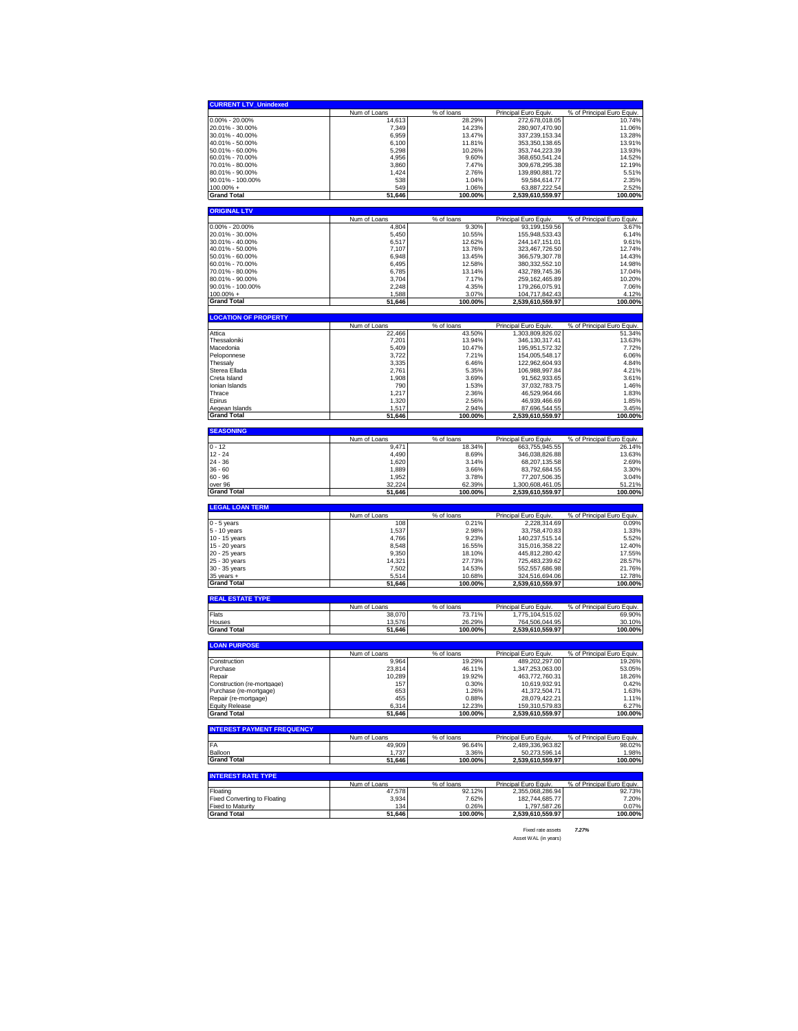| <b>CURRENT LTV_Unindexed</b>                                                                                                                                                                                                                                                                                                                                                                                                                                                                                                                                                                                                           |                        |                      |                                           |                                      |
|----------------------------------------------------------------------------------------------------------------------------------------------------------------------------------------------------------------------------------------------------------------------------------------------------------------------------------------------------------------------------------------------------------------------------------------------------------------------------------------------------------------------------------------------------------------------------------------------------------------------------------------|------------------------|----------------------|-------------------------------------------|--------------------------------------|
|                                                                                                                                                                                                                                                                                                                                                                                                                                                                                                                                                                                                                                        | Num of Loans           | % of loans           | Principal Euro Equiv.                     | % of Principal Euro Equiv.           |
| 0.00% - 20.00%                                                                                                                                                                                                                                                                                                                                                                                                                                                                                                                                                                                                                         | 14,613                 | 28.29%               | 272,678,018.05                            | 10.74%                               |
| 20.01% - 30.00%                                                                                                                                                                                                                                                                                                                                                                                                                                                                                                                                                                                                                        | 7,349                  | 14.23%               | 280,907,470.90                            | 11.06%                               |
| 30.01% - 40.00%                                                                                                                                                                                                                                                                                                                                                                                                                                                                                                                                                                                                                        | 6,959                  | 13.47%<br>11.81%     | 337,239,153.34                            | 13.28%<br>13.91%                     |
| 40.01% - 50.00%<br>50.01% - 60.00%                                                                                                                                                                                                                                                                                                                                                                                                                                                                                                                                                                                                     | 6,100<br>5,298         | 10.26%               | 353,350,138.65<br>353,744,223.39          | 13.93%                               |
| 60.01% - 70.00%                                                                                                                                                                                                                                                                                                                                                                                                                                                                                                                                                                                                                        | 4,956                  | 9.60%                | 368,650,541.24                            | 14.52%                               |
| 70.01% - 80.00%                                                                                                                                                                                                                                                                                                                                                                                                                                                                                                                                                                                                                        | 3,860                  | 7.47%                | 309,678,295.38                            | 12.19%                               |
| 80.01% - 90.00%                                                                                                                                                                                                                                                                                                                                                                                                                                                                                                                                                                                                                        | 1,424                  | 2.76%                | 139,890,881.72                            | 5.51%                                |
| 90.01% - 100.00%                                                                                                                                                                                                                                                                                                                                                                                                                                                                                                                                                                                                                       | 538                    | 1.04%                | 59,584,614.77                             | 2.35%                                |
| $100.00\% +$                                                                                                                                                                                                                                                                                                                                                                                                                                                                                                                                                                                                                           | 549                    | 1.06%                | 63,887,222.54                             | 2.52%                                |
| Grand Total                                                                                                                                                                                                                                                                                                                                                                                                                                                                                                                                                                                                                            | 51,646                 | 100.00%              | 2,539,610,559.97                          | 100.00%                              |
| <b>ORIGINAL LTV</b>                                                                                                                                                                                                                                                                                                                                                                                                                                                                                                                                                                                                                    |                        |                      |                                           |                                      |
|                                                                                                                                                                                                                                                                                                                                                                                                                                                                                                                                                                                                                                        | Num of Loans           | % of loans           | Principal Euro Equiv.                     | % of Principal Euro Equiv.           |
| 0.00% - 20.00%                                                                                                                                                                                                                                                                                                                                                                                                                                                                                                                                                                                                                         | 4,804                  | 9.30%                | 93,199,159.56                             | 3.67%                                |
| 20.01% - 30.00%<br>30.01% - 40.00%                                                                                                                                                                                                                                                                                                                                                                                                                                                                                                                                                                                                     | 5,450<br>6,517         | 10.55%<br>12.62%     | 155,948,533.43<br>244,147,151.01          | 6.14%<br>9.61%                       |
| 40.01% - 50.00%                                                                                                                                                                                                                                                                                                                                                                                                                                                                                                                                                                                                                        | 7,107                  | 13.76%               | 323,467,726.50                            | 12.74%                               |
| 50.01% - 60.00%                                                                                                                                                                                                                                                                                                                                                                                                                                                                                                                                                                                                                        | 6,948                  | 13.45%               | 366,579,307.78                            | 14.43%                               |
| 60.01% - 70.00%                                                                                                                                                                                                                                                                                                                                                                                                                                                                                                                                                                                                                        | 6,495                  | 12.58%               | 380,332,552.10                            | 14.98%                               |
| 70.01% - 80.00%                                                                                                                                                                                                                                                                                                                                                                                                                                                                                                                                                                                                                        | 6,785                  | 13.14%               | 432,789,745.36                            | 17.04%                               |
| 80.01% - 90.00%                                                                                                                                                                                                                                                                                                                                                                                                                                                                                                                                                                                                                        | 3,704                  | 7.17%                | 259,162,465.89                            | 10.20%                               |
| 90.01% - 100.00%                                                                                                                                                                                                                                                                                                                                                                                                                                                                                                                                                                                                                       | 2,248                  | 4.35%                | 179,266,075.91                            | 7.06%                                |
| 100.00% +                                                                                                                                                                                                                                                                                                                                                                                                                                                                                                                                                                                                                              | 1,588                  | 3.07%                | 104,717,842.43                            | 4.12%                                |
| <b>Grand Total</b>                                                                                                                                                                                                                                                                                                                                                                                                                                                                                                                                                                                                                     | 51,646                 | 100.00%              | 2,539,610,559.97                          | 100.00%                              |
| <b>LOCATION OF PROPERTY</b>                                                                                                                                                                                                                                                                                                                                                                                                                                                                                                                                                                                                            |                        |                      |                                           |                                      |
| Attica                                                                                                                                                                                                                                                                                                                                                                                                                                                                                                                                                                                                                                 | Num of Loans<br>22,466 | % of loans<br>43.50% | Principal Euro Equiv                      | % of Principal Euro Equiv.           |
| Thessaloniki                                                                                                                                                                                                                                                                                                                                                                                                                                                                                                                                                                                                                           | 7,201                  | 13.94%               | 1,303,809,826.02<br>346,130,317.41        | 51.34%<br>13.63%                     |
| Macedonia                                                                                                                                                                                                                                                                                                                                                                                                                                                                                                                                                                                                                              | 5,409                  | 10.47%               | 195,951,572.32                            | 7.72%                                |
| Peloponnese                                                                                                                                                                                                                                                                                                                                                                                                                                                                                                                                                                                                                            | 3,722                  | 7.21%                | 154,005,548.17                            | 6.06%                                |
| Thessaly                                                                                                                                                                                                                                                                                                                                                                                                                                                                                                                                                                                                                               | 3,335                  | 6.46%                | 122,962,604.93                            | 4.84%                                |
| Sterea Ellada                                                                                                                                                                                                                                                                                                                                                                                                                                                                                                                                                                                                                          | 2,761                  | 5.35%                | 106,988,997.84                            | 4.21%                                |
| Creta Island                                                                                                                                                                                                                                                                                                                                                                                                                                                                                                                                                                                                                           | 1,908                  | 3.69%                | 91,562,933.65                             | 3.61%                                |
| Ionian Islands                                                                                                                                                                                                                                                                                                                                                                                                                                                                                                                                                                                                                         | 790                    | 1.53%                | 37.032.783.75<br>46.529.964.66            | 1.46%                                |
| Thrace<br>Epirus                                                                                                                                                                                                                                                                                                                                                                                                                                                                                                                                                                                                                       | 1,217<br>1,320         | 2.36%<br>2.56%       | 46,939,466.69                             | 1.83%<br>1.85%                       |
| Aegean Islands                                                                                                                                                                                                                                                                                                                                                                                                                                                                                                                                                                                                                         | 1,517                  | 2.94%                | 87,696,544.55                             | 3.45%                                |
| Grand Total                                                                                                                                                                                                                                                                                                                                                                                                                                                                                                                                                                                                                            | 51,646                 | 100.00%              | 2,539,610,559.97                          | 100.00%                              |
| <b>SEASONING</b>                                                                                                                                                                                                                                                                                                                                                                                                                                                                                                                                                                                                                       |                        |                      |                                           |                                      |
|                                                                                                                                                                                                                                                                                                                                                                                                                                                                                                                                                                                                                                        | Num of Loans           | % of loans           | Principal Euro Equiv.                     | % of Principal Euro Equiv.           |
| $0 - 12$                                                                                                                                                                                                                                                                                                                                                                                                                                                                                                                                                                                                                               | 9,471                  | 18.34%               | 663,755,945.55                            | 26.14%                               |
| 12 - 24                                                                                                                                                                                                                                                                                                                                                                                                                                                                                                                                                                                                                                | 4,490                  | 8.69%                | 346,038,826.88                            | 13.63%                               |
| 24 - 36                                                                                                                                                                                                                                                                                                                                                                                                                                                                                                                                                                                                                                | 1,620                  | 3.14%                | 68,207,135.58                             | 2.69%                                |
| $36 - 60$                                                                                                                                                                                                                                                                                                                                                                                                                                                                                                                                                                                                                              | 1,889                  | 3.66%                | 83,792,684.55                             | 3.30%                                |
| 60 - 96<br>over 96                                                                                                                                                                                                                                                                                                                                                                                                                                                                                                                                                                                                                     | 1,952<br>32.224        | 3.78%<br>62.39%      | 77,207,506.35<br>1,300,608,461.05         | 3.04%<br>51.21%                      |
| Grand Total                                                                                                                                                                                                                                                                                                                                                                                                                                                                                                                                                                                                                            | 51,646                 | 100.00%              | 2,539,610,559.97                          | 100.00%                              |
|                                                                                                                                                                                                                                                                                                                                                                                                                                                                                                                                                                                                                                        |                        |                      |                                           |                                      |
|                                                                                                                                                                                                                                                                                                                                                                                                                                                                                                                                                                                                                                        |                        |                      |                                           |                                      |
|                                                                                                                                                                                                                                                                                                                                                                                                                                                                                                                                                                                                                                        |                        |                      |                                           |                                      |
|                                                                                                                                                                                                                                                                                                                                                                                                                                                                                                                                                                                                                                        | Num of Loans<br>108    | % of loans<br>0.21%  | Principal Euro Equiv.                     | % of Principal Euro Equiv.<br>0.09%  |
|                                                                                                                                                                                                                                                                                                                                                                                                                                                                                                                                                                                                                                        | 1,537                  | 2.98%                | 2,228,314.69<br>33,758,470.83             | 1.33%                                |
|                                                                                                                                                                                                                                                                                                                                                                                                                                                                                                                                                                                                                                        | 4,766                  | 9.23%                | 140,237,515.14                            | 5.52%                                |
|                                                                                                                                                                                                                                                                                                                                                                                                                                                                                                                                                                                                                                        | 8.548                  | 16.55%               | 315,016,358.22                            | 12.40%                               |
|                                                                                                                                                                                                                                                                                                                                                                                                                                                                                                                                                                                                                                        | 9,350                  | 18.10%               | 445,812,280.42                            | 17.55%                               |
|                                                                                                                                                                                                                                                                                                                                                                                                                                                                                                                                                                                                                                        | 14,321                 | 27.73%               | 725,483,239.62                            | 28.57%                               |
|                                                                                                                                                                                                                                                                                                                                                                                                                                                                                                                                                                                                                                        | 7,502                  | 14.53%               | 552,557,686.98                            | 21.76%                               |
|                                                                                                                                                                                                                                                                                                                                                                                                                                                                                                                                                                                                                                        | 5,514<br>51,646        | 10.68%<br>100.00%    | <u>324,516,694.06</u><br>2,539,610,559.97 | 12.78%<br>100.00%                    |
|                                                                                                                                                                                                                                                                                                                                                                                                                                                                                                                                                                                                                                        |                        |                      |                                           |                                      |
|                                                                                                                                                                                                                                                                                                                                                                                                                                                                                                                                                                                                                                        | Num of Loans           | % of loans           | Principal Euro Equiv.                     | % of Principal Euro Equiv.           |
|                                                                                                                                                                                                                                                                                                                                                                                                                                                                                                                                                                                                                                        | 38,070                 | 73.71%               | 1,775,104,515.02                          | 69.90%                               |
|                                                                                                                                                                                                                                                                                                                                                                                                                                                                                                                                                                                                                                        | 13,576                 | 26.29%               | <u>764,506,044.95</u>                     | 30.10%                               |
|                                                                                                                                                                                                                                                                                                                                                                                                                                                                                                                                                                                                                                        | 51,646                 | 100.00%              | 2,539,610,559.97                          | 100.00%                              |
|                                                                                                                                                                                                                                                                                                                                                                                                                                                                                                                                                                                                                                        |                        |                      |                                           |                                      |
|                                                                                                                                                                                                                                                                                                                                                                                                                                                                                                                                                                                                                                        | Num of Loans           | % of loans           | Principal Euro Equiv                      | % of Principal Euro Equiv.           |
|                                                                                                                                                                                                                                                                                                                                                                                                                                                                                                                                                                                                                                        | 9,964                  | 19.29%               | 489,202,297.00                            | 19.26%                               |
|                                                                                                                                                                                                                                                                                                                                                                                                                                                                                                                                                                                                                                        | 23,814<br>10,289       | 46.11%<br>19.92%     | 1.347.253.063.00<br>463.772.760.31        | 53.05%<br>18.26%                     |
|                                                                                                                                                                                                                                                                                                                                                                                                                                                                                                                                                                                                                                        | 157                    | 0.30%                | 10,619,932.91                             | 0.42%                                |
|                                                                                                                                                                                                                                                                                                                                                                                                                                                                                                                                                                                                                                        | 653                    | 1.26%                | 41,372,504.71                             | 1.63%                                |
|                                                                                                                                                                                                                                                                                                                                                                                                                                                                                                                                                                                                                                        | 455                    | 0.88%                | 28,079,422.21                             | 1.11%                                |
|                                                                                                                                                                                                                                                                                                                                                                                                                                                                                                                                                                                                                                        | 6,314                  | 12.23%               | 159,310,579.83                            | 6.27%                                |
|                                                                                                                                                                                                                                                                                                                                                                                                                                                                                                                                                                                                                                        | 51,646                 | 100.00%              | 2,539,610,559.97                          | 100.00%                              |
|                                                                                                                                                                                                                                                                                                                                                                                                                                                                                                                                                                                                                                        |                        |                      |                                           |                                      |
|                                                                                                                                                                                                                                                                                                                                                                                                                                                                                                                                                                                                                                        | Num of Loans           | % of loans           | Principal Euro Equiv.                     | % of Principal Euro Equiv.           |
|                                                                                                                                                                                                                                                                                                                                                                                                                                                                                                                                                                                                                                        | 49,909<br>1,737        | 96.64%<br>3.36%      | 2,489,336,963.82                          | 98.02%<br>1.98%                      |
|                                                                                                                                                                                                                                                                                                                                                                                                                                                                                                                                                                                                                                        | 51,646                 | 100.00%              | 50,273,596.14<br>2,539,610,559.97         | 100.00%                              |
|                                                                                                                                                                                                                                                                                                                                                                                                                                                                                                                                                                                                                                        |                        |                      |                                           |                                      |
|                                                                                                                                                                                                                                                                                                                                                                                                                                                                                                                                                                                                                                        |                        |                      |                                           |                                      |
|                                                                                                                                                                                                                                                                                                                                                                                                                                                                                                                                                                                                                                        | Num of Loans<br>47,578 | % of loans<br>92.12% | Principal Euro Equiv.<br>2,355,068,286.94 | % of Principal Euro Equiv.<br>92.73% |
|                                                                                                                                                                                                                                                                                                                                                                                                                                                                                                                                                                                                                                        | 3,934                  | 7.62%                | 182,744,685.77                            | 7.20%                                |
| <b>LEGAL LOAN TERM</b><br>$0 - 5$ years<br>5 - 10 years<br>10 - 15 years<br>15 - 20 years<br>20 - 25 years<br>25 - 30 years<br>30 - 35 years<br>$35$ years $+$<br>Grand Total<br><b>REAL ESTATE TYPE</b><br>Flats<br>Houses<br><b>Grand Total</b><br><b>LOAN PURPOSE</b><br>Construction<br>Purchase<br>Repair<br>Construction (re-mortgage)<br>Purchase (re-mortgage)<br>Repair (re-mortgage)<br><b>Equity Release</b><br><b>Grand Total</b><br><b>INTEREST PAYMENT FREQUENCY</b><br>FA<br>Balloon<br><b>Grand Total</b><br><b>INTEREST RATE TYPE</b><br>Floating<br>Fixed Converting to Floating<br>Fixed to Maturity<br>Grand Total | 134<br>51,646          | 0.26%<br>100.00%     | 1,797,587.26<br>2,539,610,559.97          | 0.07%<br>100.00%                     |

Fixed rate assets *7.27%* Asset WAL (in years)